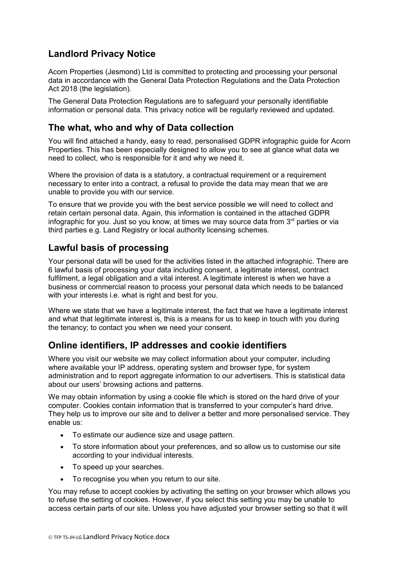# **Landlord Privacy Notice**

Acorn Properties (Jesmond) Ltd is committed to protecting and processing your personal data in accordance with the General Data Protection Regulations and the Data Protection Act 2018 (the legislation).

The General Data Protection Regulations are to safeguard your personally identifiable information or personal data. This privacy notice will be regularly reviewed and updated.

### **The what, who and why of Data collection**

You will find attached a handy, easy to read, personalised GDPR infographic guide for Acorn Properties. This has been especially designed to allow you to see at glance what data we need to collect, who is responsible for it and why we need it.

Where the provision of data is a statutory, a contractual requirement or a requirement necessary to enter into a contract, a refusal to provide the data may mean that we are unable to provide you with our service.

To ensure that we provide you with the best service possible we will need to collect and retain certain personal data. Again, this information is contained in the attached GDPR infographic for you. Just so you know, at times we may source data from  $3<sup>rd</sup>$  parties or via third parties e.g. Land Registry or local authority licensing schemes.

### **Lawful basis of processing**

Your personal data will be used for the activities listed in the attached infographic. There are 6 lawful basis of processing your data including consent, a legitimate interest, contract fulfilment, a legal obligation and a vital interest. A legitimate interest is when we have a business or commercial reason to process your personal data which needs to be balanced with your interests i.e. what is right and best for you.

Where we state that we have a legitimate interest, the fact that we have a legitimate interest and what that legitimate interest is, this is a means for us to keep in touch with you during the tenancy; to contact you when we need your consent.

# **Online identifiers, IP addresses and cookie identifiers**

Where you visit our website we may collect information about your computer, including where available your IP address, operating system and browser type, for system administration and to report aggregate information to our advertisers. This is statistical data about our users' browsing actions and patterns.

We may obtain information by using a cookie file which is stored on the hard drive of your computer. Cookies contain information that is transferred to your computer's hard drive. They help us to improve our site and to deliver a better and more personalised service. They enable us:

- To estimate our audience size and usage pattern.
- To store information about your preferences, and so allow us to customise our site according to your individual interests.
- To speed up your searches.
- To recognise you when you return to our site.

You may refuse to accept cookies by activating the setting on your browser which allows you to refuse the setting of cookies. However, if you select this setting you may be unable to access certain parts of our site. Unless you have adjusted your browser setting so that it will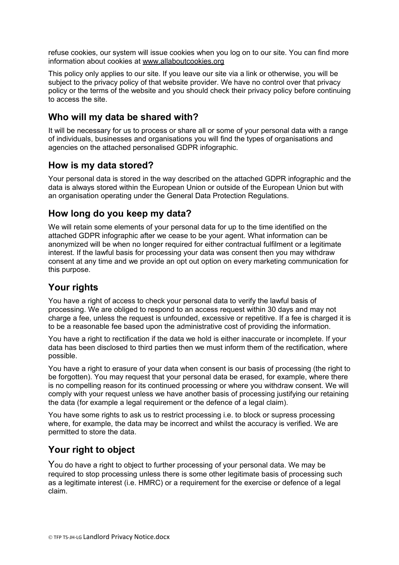refuse cookies, our system will issue cookies when you log on to our site. You can find more information about cookies at [www.allaboutcookies.org](http://www.allaboutcookies.org/)

This policy only applies to our site. If you leave our site via a link or otherwise, you will be subject to the privacy policy of that website provider. We have no control over that privacy policy or the terms of the website and you should check their privacy policy before continuing to access the site.

### **Who will my data be shared with?**

It will be necessary for us to process or share all or some of your personal data with a range of individuals, businesses and organisations you will find the types of organisations and agencies on the attached personalised GDPR infographic.

#### **How is my data stored?**

Your personal data is stored in the way described on the attached GDPR infographic and the data is always stored within the European Union or outside of the European Union but with an organisation operating under the General Data Protection Regulations.

### **How long do you keep my data?**

We will retain some elements of your personal data for up to the time identified on the attached GDPR infographic after we cease to be your agent. What information can be anonymized will be when no longer required for either contractual fulfilment or a legitimate interest. If the lawful basis for processing your data was consent then you may withdraw consent at any time and we provide an opt out option on every marketing communication for this purpose.

# **Your rights**

You have a right of access to check your personal data to verify the lawful basis of processing. We are obliged to respond to an access request within 30 days and may not charge a fee, unless the request is unfounded, excessive or repetitive. If a fee is charged it is to be a reasonable fee based upon the administrative cost of providing the information.

You have a right to rectification if the data we hold is either inaccurate or incomplete. If your data has been disclosed to third parties then we must inform them of the rectification, where possible.

You have a right to erasure of your data when consent is our basis of processing (the right to be forgotten). You may request that your personal data be erased, for example, where there is no compelling reason for its continued processing or where you withdraw consent. We will comply with your request unless we have another basis of processing justifying our retaining the data (for example a legal requirement or the defence of a legal claim).

You have some rights to ask us to restrict processing i.e. to block or supress processing where, for example, the data may be incorrect and whilst the accuracy is verified. We are permitted to store the data.

# **Your right to object**

You do have a right to object to further processing of your personal data. We may be required to stop processing unless there is some other legitimate basis of processing such as a legitimate interest (i.e. HMRC) or a requirement for the exercise or defence of a legal claim.